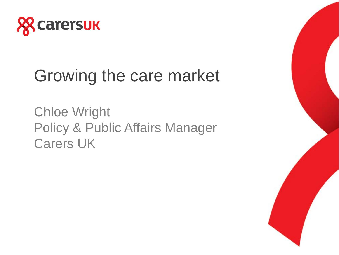

# Growing the care market

Chloe Wright Policy & Public Affairs Manager Carers UK

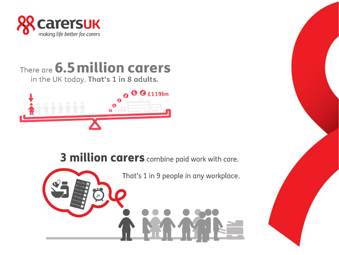

There are 6.5 million carers

in the UK today. That's 1 in 8 adults.



3 million carers combine paid work with care.

That's 1 in 9 people in any workplace.

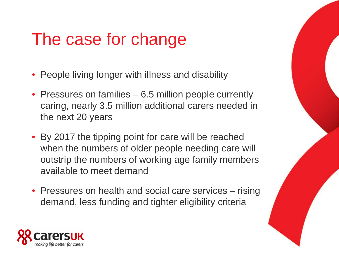# The case for change

- People living longer with illness and disability
- Pressures on families 6.5 million people currently caring, nearly 3.5 million additional carers needed in the next 20 years
- By 2017 the tipping point for care will be reached when the numbers of older people needing care will outstrip the numbers of working age family members available to meet demand
- Pressures on health and social care services rising demand, less funding and tighter eligibility criteria

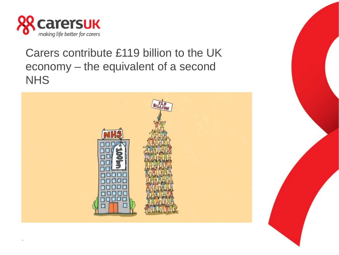

.

Carers contribute £119 billion to the UK economy – the equivalent of a second **NHS** 

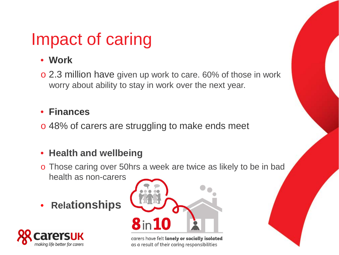#### Impact of caring

#### • **Work**

o 2.3 million have given up work to care. 60% of those in work worry about ability to stay in work over the next year.

#### • **Finances**

o 48% of carers are struggling to make ends meet

#### • **Health and wellbeing**

- o Those caring over 50hrs a week are twice as likely to be in bad health as non-carers
- **Relationships**





carers have felt lonely or socially isolated as a result of their caring responsibilities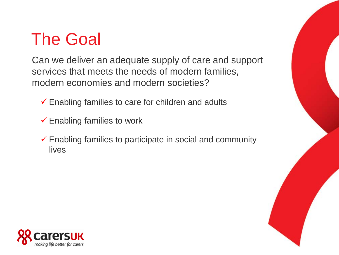## The Goal

Can we deliver an adequate supply of care and support services that meets the needs of modern families, modern economies and modern societies?

 $\checkmark$  Enabling families to care for children and adults

- $\checkmark$  Enabling families to work
- $\checkmark$  Enabling families to participate in social and community lives

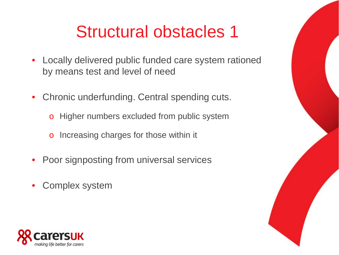### Structural obstacles 1

- Locally delivered public funded care system rationed by means test and level of need
- Chronic underfunding. Central spending cuts.
	- o Higher numbers excluded from public system
	- o Increasing charges for those within it
- Poor signposting from universal services
- Complex system

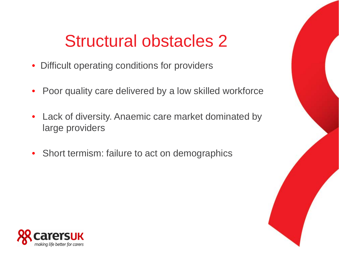#### Structural obstacles 2

- Difficult operating conditions for providers
- Poor quality care delivered by a low skilled workforce
- Lack of diversity. Anaemic care market dominated by large providers
- Short termism: failure to act on demographics

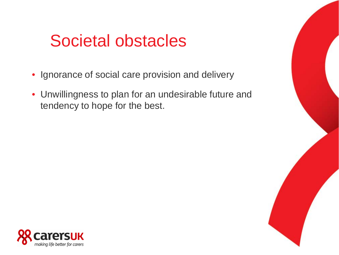#### Societal obstacles

- Ignorance of social care provision and delivery
- Unwillingness to plan for an undesirable future and tendency to hope for the best.

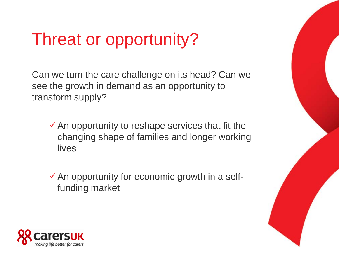## Threat or opportunity?

Can we turn the care challenge on its head? Can we see the growth in demand as an opportunity to transform supply?

- $\checkmark$  An opportunity to reshape services that fit the changing shape of families and longer working lives
- $\checkmark$  An opportunity for economic growth in a selffunding market

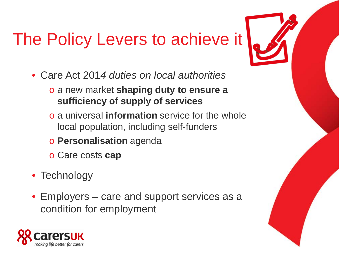# The Policy Levers to achieve it

- Care Act 201*4 duties on local authorities*
	- o *a* new market **shaping duty to ensure a sufficiency of supply of services**
	- o a universal **information** service for the whole local population, including self-funders
	- o **Personalisation** agenda
	- o Care costs **cap**
- Technology
- Employers care and support services as a condition for employment

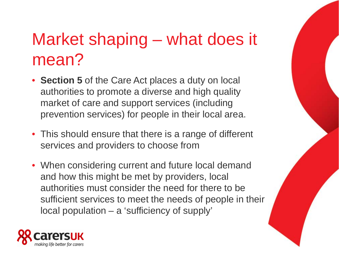# Market shaping – what does it mean?

- **Section 5** of the Care Act places a duty on local authorities to promote a diverse and high quality market of care and support services (including prevention services) for people in their local area.
- This should ensure that there is a range of different services and providers to choose from
- When considering current and future local demand and how this might be met by providers, local authorities must consider the need for there to be sufficient services to meet the needs of people in their local population – a 'sufficiency of supply'

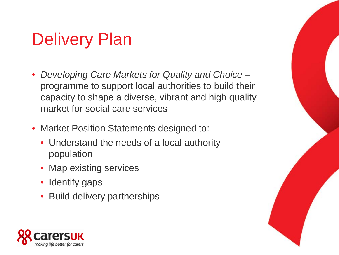# Delivery Plan

- *Developing Care Markets for Quality and Choice –* programme to support local authorities to build their capacity to shape a diverse, vibrant and high quality market for social care services
- Market Position Statements designed to:
	- Understand the needs of a local authority population
	- Map existing services
	- Identify gaps
	- Build delivery partnerships

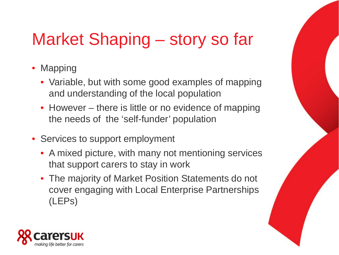# Market Shaping – story so far

- Mapping
	- Variable, but with some good examples of mapping and understanding of the local population
	- However there is little or no evidence of mapping the needs of the 'self-funder' population
- Services to support employment
	- A mixed picture, with many not mentioning services that support carers to stay in work
	- The majority of Market Position Statements do not cover engaging with Local Enterprise Partnerships (LEPs)

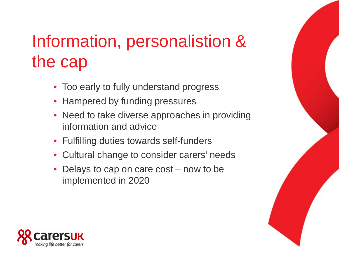# Information, personalistion & the cap

- Too early to fully understand progress
- Hampered by funding pressures
- Need to take diverse approaches in providing information and advice
- Fulfilling duties towards self-funders
- Cultural change to consider carers' needs
- Delays to cap on care cost now to be implemented in 2020

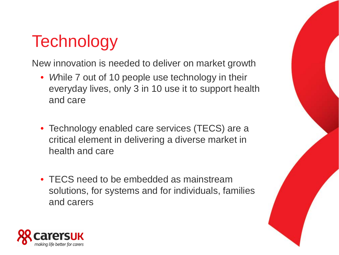## **Technology**

New innovation is needed to deliver on market growth

- *While 7 out of 10 people use technology in their* everyday lives, only 3 in 10 use it to support health and care
- Technology enabled care services (TECS) are a critical element in delivering a diverse market in health and care
- TECS need to be embedded as mainstream solutions, for systems and for individuals, families and carers

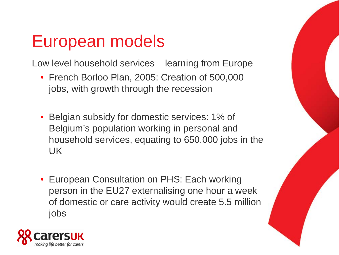#### European models

Low level household services – learning from Europe

- French Borloo Plan, 2005: Creation of 500,000 jobs, with growth through the recession
- Belgian subsidy for domestic services: 1% of Belgium's population working in personal and household services, equating to 650,000 jobs in the UK
- European Consultation on PHS: Each working person in the EU27 externalising one hour a week of domestic or care activity would create 5.5 million jobs

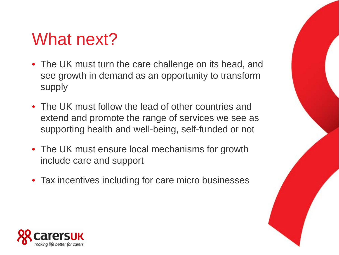#### What next?

- The UK must turn the care challenge on its head, and see growth in demand as an opportunity to transform supply
- The UK must follow the lead of other countries and extend and promote the range of services we see as supporting health and well-being, self-funded or not
- The UK must ensure local mechanisms for growth include care and support
- Tax incentives including for care micro businesses